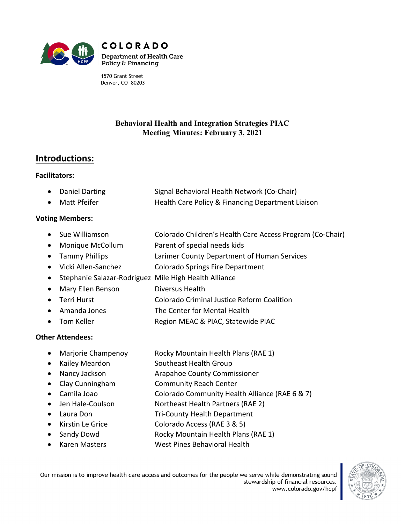

1570 Grant Street Denver, CO 80203

### **Behavioral Health and Integration Strategies PIAC Meeting Minutes: February 3, 2021**

# **Introductions:**

#### **Facilitators:**

- Daniel Darting Signal Behavioral Health Network (Co-Chair)
- Matt Pfeifer **Health Care Policy & Financing Department Liaison**

#### **Voting Members:**

- Sue Williamson Colorado Children's Health Care Access Program (Co-Chair)
- Monique McCollum Parent of special needs kids
- Tammy Phillips Larimer County Department of Human Services
- Vicki Allen-Sanchez Colorado Springs Fire Department
- Stephanie Salazar-Rodriguez Mile High Health Alliance
- Mary Ellen Benson Diversus Health
- Terri Hurst Colorado Criminal Justice Reform Coalition
- Amanda Jones The Center for Mental Health
- Tom Keller Region MEAC & PIAC, Statewide PIAC

#### **Other Attendees:**

- Marjorie Champenoy Rocky Mountain Health Plans (RAE 1)
- Kailey Meardon Southeast Health Group
- Nancy Jackson **Arapahoe County Commissioner**
- Clay Cunningham Community Reach Center
- Camila Joao Colorado Community Health Alliance (RAE 6 & 7)
- Jen Hale-Coulson Northeast Health Partners (RAE 2)
- Laura Don Tri-County Health Department
- Kirstin Le Grice Colorado Access (RAE 3 & 5)
- Sandy Dowd Rocky Mountain Health Plans (RAE 1)
- Karen Masters West Pines Behavioral Health

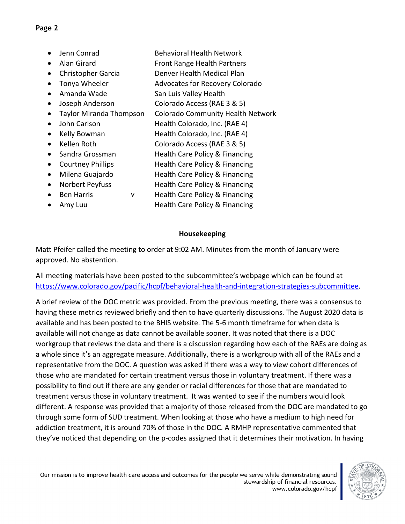- Jenn Conrad Behavioral Health Network
- Alan Girard Front Range Health Partners
- Christopher Garcia **Denver Health Medical Plan**
- Tonya Wheeler Advocates for Recovery Colorado
- Amanda Wade San Luis Valley Health
- Joseph Anderson Colorado Access (RAE 3 & 5)
- Taylor Miranda Thompson Colorado Community Health Network
- John Carlson Health Colorado, Inc. (RAE 4)
- Kelly Bowman Health Colorado, Inc. (RAE 4)
- Kellen Roth Colorado Access (RAE 3 & 5)
- Sandra Grossman Health Care Policy & Financing
- Courtney Phillips **Health Care Policy & Financing**
- Milena Guajardo **Health Care Policy & Financing**
- Norbert Peyfuss Health Care Policy & Financing
- Ben Harris v Health Care Policy & Financing
- Amy Luu Health Care Policy & Financing

## **Housekeeping**

Matt Pfeifer called the meeting to order at 9:02 AM. Minutes from the month of January were approved. No abstention.

All meeting materials have been posted to the subcommittee's webpage which can be found at [https://www.colorado.gov/pacific/hcpf/behavioral-health-and-integration-strategies-subcommittee.](https://www.colorado.gov/pacific/hcpf/behavioral-health-and-integration-strategies-subcommittee)

A brief review of the DOC metric was provided. From the previous meeting, there was a consensus to having these metrics reviewed briefly and then to have quarterly discussions. The August 2020 data is available and has been posted to the BHIS website. The 5-6 month timeframe for when data is available will not change as data cannot be available sooner. It was noted that there is a DOC workgroup that reviews the data and there is a discussion regarding how each of the RAEs are doing as a whole since it's an aggregate measure. Additionally, there is a workgroup with all of the RAEs and a representative from the DOC. A question was asked if there was a way to view cohort differences of those who are mandated for certain treatment versus those in voluntary treatment. If there was a possibility to find out if there are any gender or racial differences for those that are mandated to treatment versus those in voluntary treatment. It was wanted to see if the numbers would look different. A response was provided that a majority of those released from the DOC are mandated to go through some form of SUD treatment. When looking at those who have a medium to high need for addiction treatment, it is around 70% of those in the DOC. A RMHP representative commented that they've noticed that depending on the p-codes assigned that it determines their motivation. In having

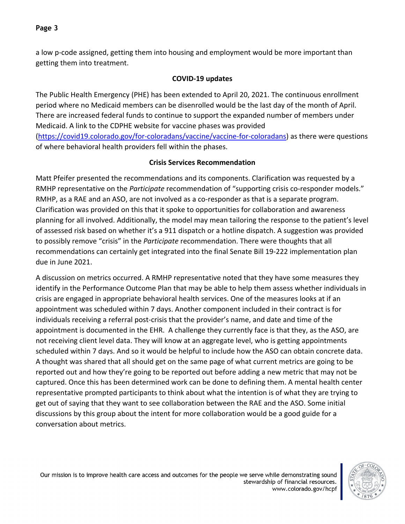a low p-code assigned, getting them into housing and employment would be more important than getting them into treatment.

## **COVID-19 updates**

The Public Health Emergency (PHE) has been extended to April 20, 2021. The continuous enrollment period where no Medicaid members can be disenrolled would be the last day of the month of April. There are increased federal funds to continue to support the expanded number of members under Medicaid. A link to the CDPHE website for vaccine phases was provided [\(https://covid19.colorado.gov/for-coloradans/vaccine/vaccine-for-coloradans\)](https://covid19.colorado.gov/for-coloradans/vaccine/vaccine-for-coloradans) as there were questions of where behavioral health providers fell within the phases.

## **Crisis Services Recommendation**

Matt Pfeifer presented the recommendations and its components. Clarification was requested by a RMHP representative on the *Participate* recommendation of "supporting crisis co-responder models." RMHP, as a RAE and an ASO, are not involved as a co-responder as that is a separate program. Clarification was provided on this that it spoke to opportunities for collaboration and awareness planning for all involved. Additionally, the model may mean tailoring the response to the patient's level of assessed risk based on whether it's a 911 dispatch or a hotline dispatch. A suggestion was provided to possibly remove "crisis" in the *Participate* recommendation. There were thoughts that all recommendations can certainly get integrated into the final Senate Bill 19-222 implementation plan due in June 2021.

A discussion on metrics occurred. A RMHP representative noted that they have some measures they identify in the Performance Outcome Plan that may be able to help them assess whether individuals in crisis are engaged in appropriate behavioral health services. One of the measures looks at if an appointment was scheduled within 7 days. Another component included in their contract is for individuals receiving a referral post-crisis that the provider's name, and date and time of the appointment is documented in the EHR. A challenge they currently face is that they, as the ASO, are not receiving client level data. They will know at an aggregate level, who is getting appointments scheduled within 7 days. And so it would be helpful to include how the ASO can obtain concrete data. A thought was shared that all should get on the same page of what current metrics are going to be reported out and how they're going to be reported out before adding a new metric that may not be captured. Once this has been determined work can be done to defining them. A mental health center representative prompted participants to think about what the intention is of what they are trying to get out of saying that they want to see collaboration between the RAE and the ASO. Some initial discussions by this group about the intent for more collaboration would be a good guide for a conversation about metrics.

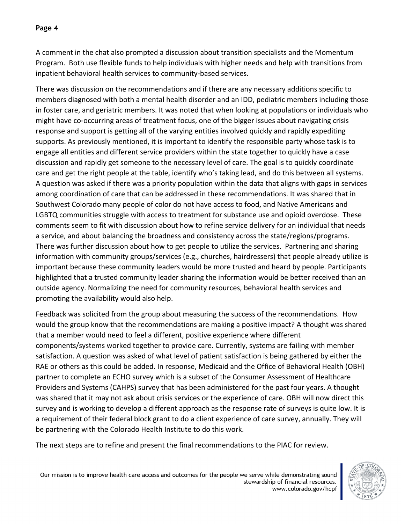A comment in the chat also prompted a discussion about transition specialists and the Momentum Program. Both use flexible funds to help individuals with higher needs and help with transitions from inpatient behavioral health services to community-based services.

There was discussion on the recommendations and if there are any necessary additions specific to members diagnosed with both a mental health disorder and an IDD, pediatric members including those in foster care, and geriatric members. It was noted that when looking at populations or individuals who might have co-occurring areas of treatment focus, one of the bigger issues about navigating crisis response and support is getting all of the varying entities involved quickly and rapidly expediting supports. As previously mentioned, it is important to identify the responsible party whose task is to engage all entities and different service providers within the state together to quickly have a case discussion and rapidly get someone to the necessary level of care. The goal is to quickly coordinate care and get the right people at the table, identify who's taking lead, and do this between all systems. A question was asked if there was a priority population within the data that aligns with gaps in services among coordination of care that can be addressed in these recommendations. It was shared that in Southwest Colorado many people of color do not have access to food, and Native Americans and LGBTQ communities struggle with access to treatment for substance use and opioid overdose. These comments seem to fit with discussion about how to refine service delivery for an individual that needs a service, and about balancing the broadness and consistency across the state/regions/programs. There was further discussion about how to get people to utilize the services. Partnering and sharing information with community groups/services (e.g., churches, hairdressers) that people already utilize is important because these community leaders would be more trusted and heard by people. Participants highlighted that a trusted community leader sharing the information would be better received than an outside agency. Normalizing the need for community resources, behavioral health services and promoting the availability would also help.

Feedback was solicited from the group about measuring the success of the recommendations. How would the group know that the recommendations are making a positive impact? A thought was shared that a member would need to feel a different, positive experience where different components/systems worked together to provide care. Currently, systems are failing with member satisfaction. A question was asked of what level of patient satisfaction is being gathered by either the RAE or others as this could be added. In response, Medicaid and the Office of Behavioral Health (OBH) partner to complete an ECHO survey which is a subset of the Consumer Assessment of Healthcare Providers and Systems (CAHPS) survey that has been administered for the past four years. A thought was shared that it may not ask about crisis services or the experience of care. OBH will now direct this survey and is working to develop a different approach as the response rate of surveys is quite low. It is a requirement of their federal block grant to do a client experience of care survey, annually. They will be partnering with the Colorado Health Institute to do this work.

The next steps are to refine and present the final recommendations to the PIAC for review.